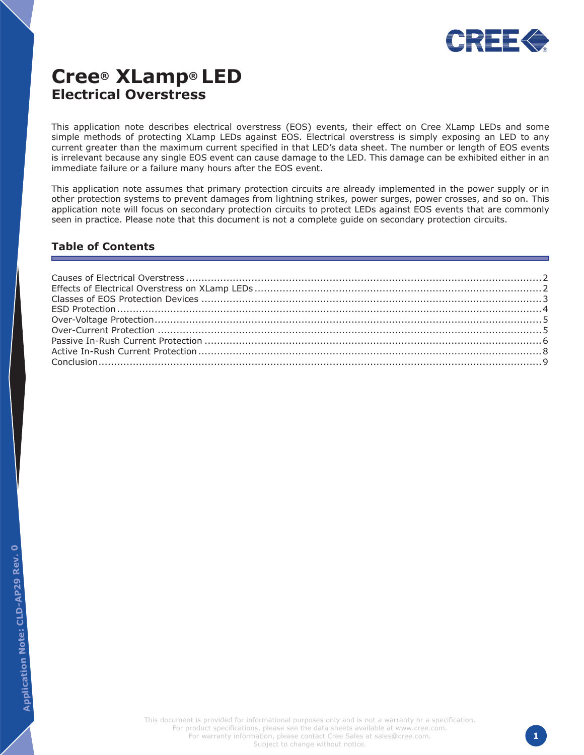

# **Cree® XLamp® LED Electrical Overstress**

This application note describes electrical overstress (EOS) events, their effect on Cree XLamp LEDs and some simple methods of protecting XLamp LEDs against EOS. Electrical overstress is simply exposing an LED to any current greater than the maximum current specified in that LED's data sheet. The number or length of EOS events is irrelevant because any single EOS event can cause damage to the LED. This damage can be exhibited either in an immediate failure or a failure many hours after the EOS event.

This application note assumes that primary protection circuits are already implemented in the power supply or in other protection systems to prevent damages from lightning strikes, power surges, power crosses, and so on. This application note will focus on secondary protection circuits to protect LEDs against EOS events that are commonly seen in practice. Please note that this document is not a complete guide on secondary protection circuits.

### **Table of Contents**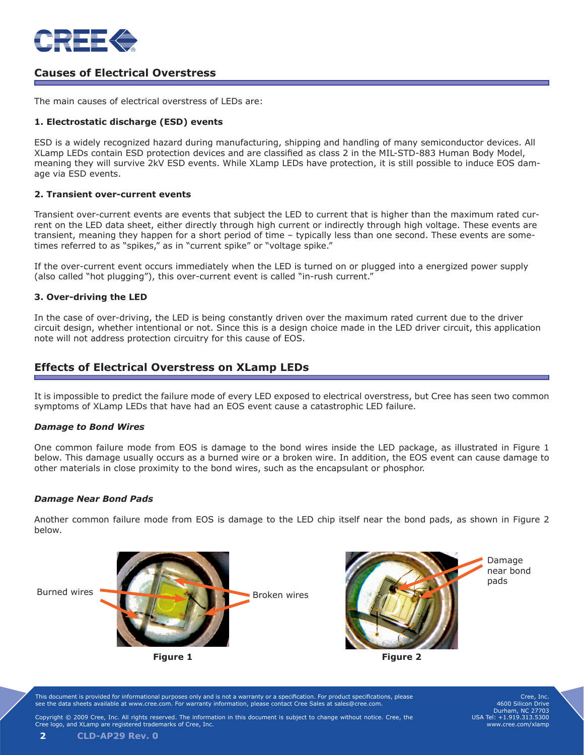

### **Causes of Electrical Overstress**

The main causes of electrical overstress of LEDs are:

#### **1. Electrostatic discharge (ESD) events**

ESD is a widely recognized hazard during manufacturing, shipping and handling of many semiconductor devices. All XLamp LEDs contain ESD protection devices and are classified as class 2 in the MIL-STD-883 Human Body Model, meaning they will survive 2kV ESD events. While XLamp LEDs have protection, it is still possible to induce EOS damage via ESD events.

#### **2. Transient over-current events**

Transient over-current events are events that subject the LED to current that is higher than the maximum rated current on the LED data sheet, either directly through high current or indirectly through high voltage. These events are transient, meaning they happen for a short period of time – typically less than one second. These events are sometimes referred to as "spikes," as in "current spike" or "voltage spike."

If the over-current event occurs immediately when the LED is turned on or plugged into a energized power supply (also called "hot plugging"), this over-current event is called "in-rush current."

#### **3. Over-driving the LED**

In the case of over-driving, the LED is being constantly driven over the maximum rated current due to the driver circuit design, whether intentional or not. Since this is a design choice made in the LED driver circuit, this application note will not address protection circuitry for this cause of EOS.

### **Effects of Electrical Overstress on XLamp LEDs**

It is impossible to predict the failure mode of every LED exposed to electrical overstress, but Cree has seen two common symptoms of XLamp LEDs that have had an EOS event cause a catastrophic LED failure.

#### *Damage to Bond Wires*

One common failure mode from EOS is damage to the bond wires inside the LED package, as illustrated in Figure 1 below. This damage usually occurs as a burned wire or a broken wire. In addition, the EOS event can cause damage to other materials in close proximity to the bond wires, such as the encapsulant or phosphor.

#### *Damage Near Bond Pads*

Another common failure mode from EOS is damage to the LED chip itself near the bond pads, as shown in Figure 2 below.



This document is provided for informational purposes only and is not a warranty or a specification. For product specifications, please see the data sheets available at www.cree.com. For warranty information, please contact Cree Sales at sales@cree.com.

Cree, Inc. 4600 Silicon Drive Durham, NC 27703 USA Tel: +1.919.313.5300 www.cree.com/xlamp

Copyright © 2009 Cree, Inc. All rights reserved. The information in this document is subject to change without notice. Cree, the ogo, and XLamp are registered trademarks of Cree, Inc.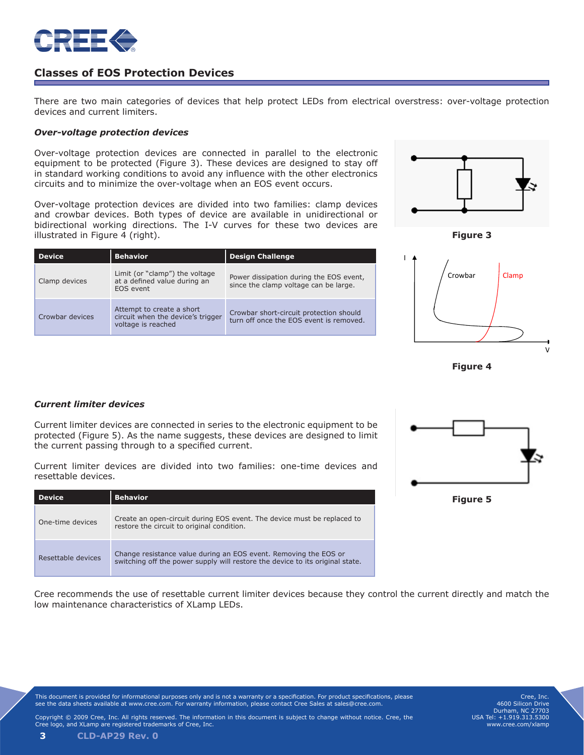

### **Classes of EOS Protection Devices**

There are two main categories of devices that help protect LEDs from electrical overstress: over-voltage protection devices and current limiters.

> Power dissipation during the EOS event, since the clamp voltage can be large.

> Crowbar short-circuit protection should turn off once the EOS event is removed.

#### *Over-voltage protection devices*

Over-voltage protection devices are connected in parallel to the electronic equipment to be protected (Figure 3). These devices are designed to stay off in standard working conditions to avoid any influence with the other electronics circuits and to minimize the over-voltage when an EOS event occurs.

Over-voltage protection devices are divided into two families: clamp devices and crowbar devices. Both types of device are available in unidirectional or bidirectional working directions. The I-V curves for these two devices are illustrated in Figure 4 (right).

**Device Behavior Behavior Behavior Belavior B** 

Limit (or "clamp") the voltage at a defined value during an

Attempt to create a short circuit when the device's trigger

voltage is reached

EOS event



**Figure 3**



**Figure 4**

### *Current limiter devices*

Clamp devices

Crowbar devices

Current limiter devices are connected in series to the electronic equipment to be protected (Figure 5). As the name suggests, these devices are designed to limit the current passing through to a specified current.

Current limiter devices are divided into two families: one-time devices and resettable devices.

| <b>Device</b>      | <b>Behavior</b>                                                                                                                                   |  |
|--------------------|---------------------------------------------------------------------------------------------------------------------------------------------------|--|
| One-time devices   | Create an open-circuit during EOS event. The device must be replaced to<br>restore the circuit to original condition.                             |  |
| Resettable devices | Change resistance value during an EOS event. Removing the EOS or<br>switching off the power supply will restore the device to its original state. |  |



Cree recommends the use of resettable current limiter devices because they control the current directly and match the low maintenance characteristics of XLamp LEDs.

This document is provided for informational purposes only and is not a warranty or a specification. For product specifications, please see the data sheets available at www.cree.com. For warranty information, please contact Cree Sales at sales@cree.com.

Cree, Inc. 4600 Silicon Drive Durham, NC 27703 USA Tel: +1.919.313.5300 www.cree.com/xlamp

Copyright © 2009 Cree, Inc. All rights reserved. The information in this document is subject to change without notice. Cree, the Cree logo, and XLamp are registered trademarks of Cree, Inc.

**3 CLD-AP29 Rev. 0**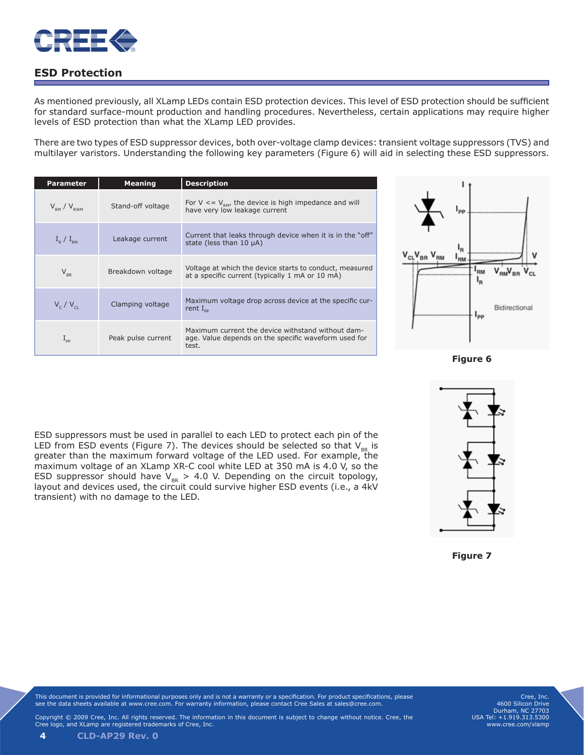

# **ESD Protection**

As mentioned previously, all XLamp LEDs contain ESD protection devices. This level of ESD protection should be sufficient for standard surface-mount production and handling procedures. Nevertheless, certain applications may require higher levels of ESD protection than what the XLamp LED provides.

There are two types of ESD suppressor devices, both over-voltage clamp devices: transient voltage suppressors (TVS) and multilayer varistors. Understanding the following key parameters (Figure 6) will aid in selecting these ESD suppressors.

| <b>Parameter</b>             | <b>Meaning</b>     | <b>Description</b>                                                                                                 |
|------------------------------|--------------------|--------------------------------------------------------------------------------------------------------------------|
| $V_{\rm RM}$ / $V_{\rm RWM}$ | Stand-off voltage  | For $V \leq V_{\text{RM}}$ , the device is high impedance and will<br>have very low leakage current                |
| $I_{\rm p}$ / $I_{\rm pm}$   | Leakage current    | Current that leaks through device when it is in the "off"<br>state (less than $10 \mu$ A)                          |
| $V_{\rm_{RR}}$               | Breakdown voltage  | Voltage at which the device starts to conduct, measured<br>at a specific current (typically 1 mA or 10 mA)         |
| $V_c/V_{ci}$                 | Clamping voltage   | Maximum voltage drop across device at the specific cur-<br>rent $I_{\text{nn}}$                                    |
| $1_{\text{pp}}$              | Peak pulse current | Maximum current the device withstand without dam-<br>age. Value depends on the specific waveform used for<br>test. |





**Figure 7**

ESD suppressors must be used in parallel to each LED to protect each pin of the LED from ESD events (Figure 7). The devices should be selected so that  $\mathsf{V}_{_{\sf BR}}$  is greater than the maximum forward voltage of the LED used. For example, the maximum voltage of an XLamp XR-C cool white LED at 350 mA is 4.0 V, so the ESD suppressor should have  $V_{BR} > 4.0$  V. Depending on the circuit topology, layout and devices used, the circuit could survive higher ESD events (i.e., a 4kV transient) with no damage to the LED.

This document is provided for informational purposes only and is not a warranty or a specification. For product specifications, please see the data sheets available at www.cree.com. For warranty information, please contact Cree Sales at sales@cree.com.

Cree, Inc. 4600 Silicon Drive Durham, NC 27703 USA Tel: +1.919.313.5300 www.cree.com/xlamp

Copyright © 2009 Cree, Inc. All rights reserved. The information in this document is subject to change without notice. Cree, the Cree logo, and XLamp are registered trademarks of Cree, Inc.

**4 CLD-AP29 Rev. 0**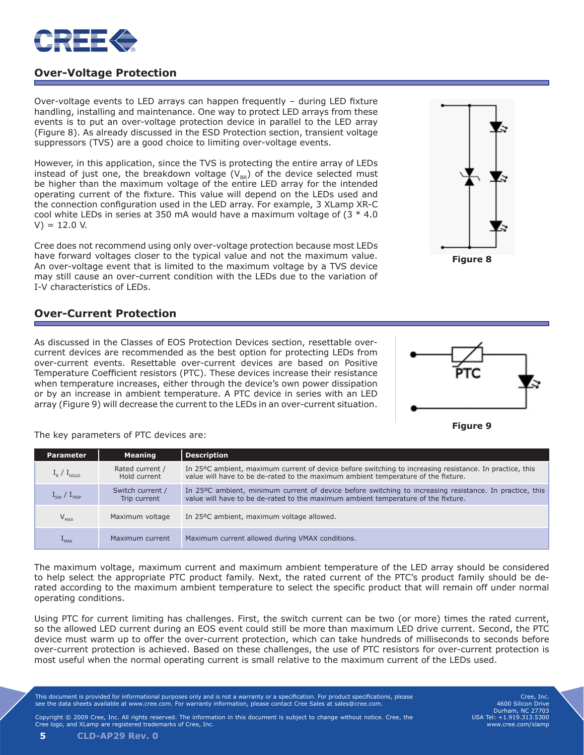

# **Over-Voltage Protection**

Over-voltage events to LED arrays can happen frequently – during LED fixture handling, installing and maintenance. One way to protect LED arrays from these events is to put an over-voltage protection device in parallel to the LED array (Figure 8). As already discussed in the ESD Protection section, transient voltage suppressors (TVS) are a good choice to limiting over-voltage events.

However, in this application, since the TVS is protecting the entire array of LEDs instead of just one, the breakdown voltage  $(V_{BR})$  of the device selected must be higher than the maximum voltage of the entire LED array for the intended operating current of the fixture. This value will depend on the LEDs used and the connection configuration used in the LED array. For example, 3 XLamp XR-C cool white LEDs in series at 350 mA would have a maximum voltage of  $(3 * 4.0)$  $V$ ) = 12.0 V.

Cree does not recommend using only over-voltage protection because most LEDs have forward voltages closer to the typical value and not the maximum value. An over-voltage event that is limited to the maximum voltage by a TVS device may still cause an over-current condition with the LEDs due to the variation of I-V characteristics of LEDs.

### **Over-Current Protection**

As discussed in the Classes of EOS Protection Devices section, resettable overcurrent devices are recommended as the best option for protecting LEDs from over-current events. Resettable over-current devices are based on Positive Temperature Coefficient resistors (PTC). These devices increase their resistance when temperature increases, either through the device's own power dissipation or by an increase in ambient temperature. A PTC device in series with an LED array (Figure 9) will decrease the current to the LEDs in an over-current situation.



**Figure 8**



The key parameters of PTC devices are:

| <b>Parameter</b>                | <b>Meaning</b>                   | <b>Description</b>                                                                                                                                                                           |
|---------------------------------|----------------------------------|----------------------------------------------------------------------------------------------------------------------------------------------------------------------------------------------|
| $I_{\rm R}$ / $I_{\rm HOL}$     | Rated current /<br>Hold current  | In 25°C ambient, maximum current of device before switching to increasing resistance. In practice, this<br>value will have to be de-rated to the maximum ambient temperature of the fixture. |
| $I_{\text{sw}}/I_{\text{trip}}$ | Switch current /<br>Trip current | In 25°C ambient, minimum current of device before switching to increasing resistance. In practice, this<br>value will have to be de-rated to the maximum ambient temperature of the fixture. |
| $V_{MAX}$                       | Maximum voltage                  | In 25°C ambient, maximum voltage allowed.                                                                                                                                                    |
| $L_{MAX}$                       | Maximum current                  | Maximum current allowed during VMAX conditions.                                                                                                                                              |

The maximum voltage, maximum current and maximum ambient temperature of the LED array should be considered to help select the appropriate PTC product family. Next, the rated current of the PTC's product family should be derated according to the maximum ambient temperature to select the specific product that will remain off under normal operating conditions.

Using PTC for current limiting has challenges. First, the switch current can be two (or more) times the rated current, so the allowed LED current during an EOS event could still be more than maximum LED drive current. Second, the PTC device must warm up to offer the over-current protection, which can take hundreds of milliseconds to seconds before over-current protection is achieved. Based on these challenges, the use of PTC resistors for over-current protection is most useful when the normal operating current is small relative to the maximum current of the LEDs used.

This document is provided for informational purposes only and is not a warranty or a specification. For product specifications, please see the data sheets available at www.cree.com. For warranty information, please contact Cree Sales at sales@cree.com.

Cree, Inc. 4600 Silicon Drive Durham, NC 27703 USA Tel: +1.919.313.5300 www.cree.com/xlamp

Copyright © 2009 Cree, Inc. All rights reserved. The information in this document is subject to change without notice. Cree, the Cree the Cree et all of the Cree the Cree is the Cree is the Cree is the Cree is the Cree is logo, and XLamp are registered trademarks of Cree, Inc.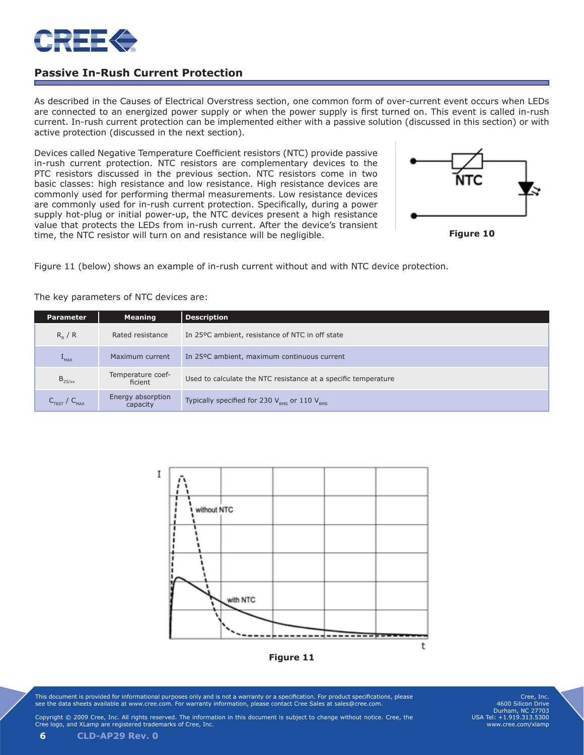

# **Passive In-Rush Current Protection**

As described in the Causes of Electrical Overstress section, one common form of over-current event occurs when LEDs are connected to an energized power supply or when the power supply is first turned on. This event is called in-rush current. In-rush current protection can be implemented either with a passive solution (discussed in this section) or with active protection (discussed in the next section).

Devices called Negative Temperature Coefficient resistors (NTC) provide passive in-rush current protection. NTC resistors are complementary devices to the PTC resistors discussed in the previous section. NTC resistors come in two basic classes: high resistance and low resistance. High resistance devices are commonly used for performing thermal measurements. Low resistance devices are commonly used for in-rush current protection. Specifically, during a power supply hot-plug or initial power-up, the NTC devices present a high resistance value that protects the LEDs from in-rush current. After the device's transient time, the NTC resistor will turn on and resistance will be negligible.



**Figure 10**

Figure 11 (below) shows an example of in-rush current without and with NTC device protection.

The key parameters of NTC devices are:

| <b>Parameter</b>                     | <b>Meaning</b>                | <b>Description</b>                                                   |
|--------------------------------------|-------------------------------|----------------------------------------------------------------------|
| $R_{p}$ / R                          | Rated resistance              | In 25°C ambient, resistance of NTC in off state                      |
| $+$ <sub>MAX</sub>                   | Maximum current               | In 25°C ambient, maximum continuous current                          |
| $B_{25/xx}$                          | Temperature coef-<br>ficient  | Used to calculate the NTC resistance at a specific temperature       |
| $C_{\text{TEST}}$ / $C_{\text{MAX}}$ | Energy absorption<br>capacity | Typically specified for 230 $V_{\text{pms}}$ or 110 $V_{\text{pms}}$ |



**Figure 11**

This document is provided for informational purposes only and is not a warranty or a specification. For product specifications, please see the data sheets available at www.cree.com. For warranty information, please contact Cree Sales at sales@cree.com.

Cree, Inc. 4600 Silicon Drive Durham, NC 27703 USA Tel: +1.919.313.5300 www.cree.com/xlamp

Copyright © 2009 Cree, Inc. All rights reserved. The information in this document is subject to change without notice. Cree, the Cree logo, and XLamp are registered trademarks of Cree, Inc.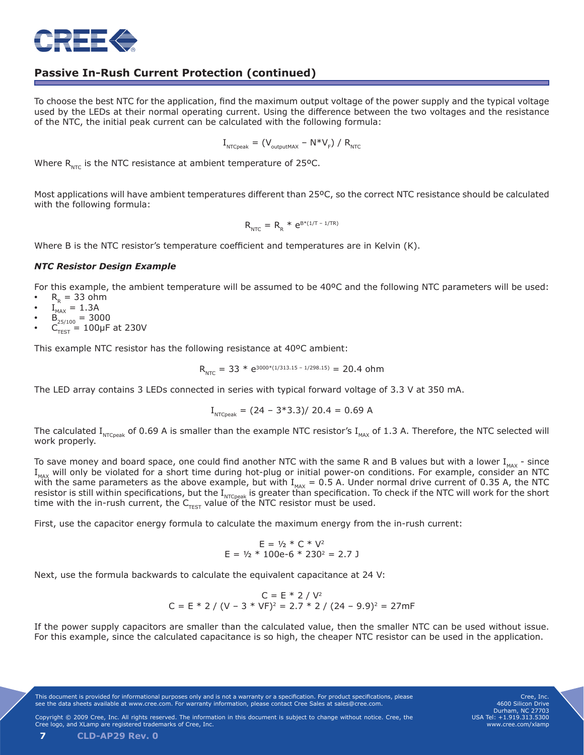

# **Passive In-Rush Current Protection (continued)**

To choose the best NTC for the application, find the maximum output voltage of the power supply and the typical voltage used by the LEDs at their normal operating current. Using the difference between the two voltages and the resistance of the NTC, the initial peak current can be calculated with the following formula:

$$
I_{\text{NTCpeak}} = (V_{\text{outputMAX}} - N^*V_{F}) / R_{\text{NTC}}
$$

Where  $R_{NTC}$  is the NTC resistance at ambient temperature of 25°C.

Most applications will have ambient temperatures different than 25ºC, so the correct NTC resistance should be calculated with the following formula:

$$
R_{_{NTC}} = R_{_R} * e^{B * (1/T - 1/TR)}
$$

Where B is the NTC resistor's temperature coefficient and temperatures are in Kelvin (K).

### *NTC Resistor Design Example*

For this example, the ambient temperature will be assumed to be 40ºC and the following NTC parameters will be used:

- $R<sub>R</sub>$  = 33 ohm
- $I_{MAX}$  = 1.3A
- $B_{25/100} = 3000$
- $C_{\text{TEST}}^{\text{SUS}} = 100 \mu F$  at 230V

This example NTC resistor has the following resistance at 40ºC ambient:

$$
R_{\text{NTC}} = 33 * e^{3000 * (1/313.15 - 1/298.15)} = 20.4 \text{ ohm}
$$

The LED array contains 3 LEDs connected in series with typical forward voltage of 3.3 V at 350 mA.

$$
I_{\text{NTCpeak}} = (24 - 3 \times 3.3) / 20.4 = 0.69 \text{ A}
$$

The calculated I<sub>NTCpeak</sub> of 0.69 A is smaller than the example NTC resistor's I<sub>MAX</sub> of 1.3 A. Therefore, the NTC selected will work properly.

To save money and board space, one could find another NTC with the same R and B values but with a lower  $I_{\text{max}}$  - since I<sub>MAX</sub> will only be violated for a short time during hot-plug or initial power-on conditions. For example, consider an NTC  $T_{\text{MAX}}$  will brity be violated for a short time daring not pay of mixing position of  $T_{\text{MAX}} = 0.5$  A. Under normal drive current of 0.35 A, the NTC resistor is still within specifications, but the I<sub>NTCpeak</sub> is greater than specification. To check if the NTC will work for the short time with the in-rush current, the  $\mathsf{C}_{\mathsf{TEST}}$  value of the NTC resistor must be used.

First, use the capacitor energy formula to calculate the maximum energy from the in-rush current:

$$
E = \frac{1}{2} * C * V^2
$$
  
E = \frac{1}{2} \* 100e-6 \* 230<sup>2</sup> = 2.7 J

Next, use the formula backwards to calculate the equivalent capacitance at 24 V:

$$
C = E * 2 / V2
$$
  
C = E \* 2 / (V - 3 \* VF)<sup>2</sup> = 2.7 \* 2 / (24 - 9.9)<sup>2</sup> = 27mF

If the power supply capacitors are smaller than the calculated value, then the smaller NTC can be used without issue. For this example, since the calculated capacitance is so high, the cheaper NTC resistor can be used in the application.

This document is provided for informational purposes only and is not a warranty or a specification. For product specifications, please see the data sheets available at www.cree.com. For warranty information, please contact Cree Sales at sales@cree.com.

Cree, Inc. 4600 Silicon Drive Durham, NC 27703 USA Tel: +1.919.313.5300 www.cree.com/xlamp

**7 CLD-AP29 Rev. 0**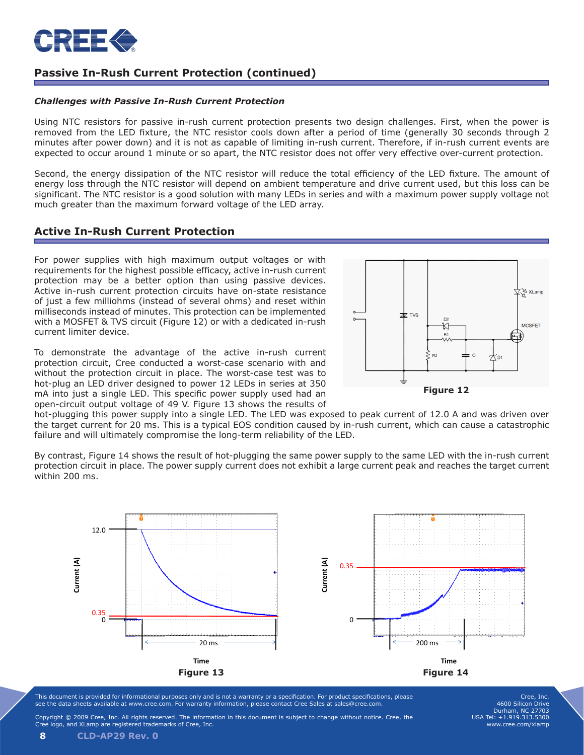

# **Passive In-Rush Current Protection (continued)**

#### *Challenges with Passive In-Rush Current Protection*

Using NTC resistors for passive in-rush current protection presents two design challenges. First, when the power is removed from the LED fixture, the NTC resistor cools down after a period of time (generally 30 seconds through 2 minutes after power down) and it is not as capable of limiting in-rush current. Therefore, if in-rush current events are expected to occur around 1 minute or so apart, the NTC resistor does not offer very effective over-current protection.

Second, the energy dissipation of the NTC resistor will reduce the total efficiency of the LED fixture. The amount of energy loss through the NTC resistor will depend on ambient temperature and drive current used, but this loss can be significant. The NTC resistor is a good solution with many LEDs in series and with a maximum power supply voltage not much greater than the maximum forward voltage of the LED array.

### **Active In-Rush Current Protection**

For power supplies with high maximum output voltages or with requirements for the highest possible efficacy, active in-rush current protection may be a better option than using passive devices. Active in-rush current protection circuits have on-state resistance of just a few milliohms (instead of several ohms) and reset within milliseconds instead of minutes. This protection can be implemented with a MOSFET & TVS circuit (Figure 12) or with a dedicated in-rush current limiter device.

To demonstrate the advantage of the active in-rush current protection circuit, Cree conducted a worst-case scenario with and without the protection circuit in place. The worst-case test was to hot-plug an LED driver designed to power 12 LEDs in series at 350 mA into just a single LED. This specific power supply used had an open-circuit output voltage of 49 V. Figure 13 shows the results of



hot-plugging this power supply into a single LED. The LED was exposed to peak current of 12.0 A and was driven over the target current for 20 ms. This is a typical EOS condition caused by in-rush current, which can cause a catastrophic failure and will ultimately compromise the long-term reliability of the LED.

By contrast, Figure 14 shows the result of hot-plugging the same power supply to the same LED with the in-rush current protection circuit in place. The power supply current does not exhibit a large current peak and reaches the target current within 200 ms.



This document is provided for informational purposes only and is not a warranty or a specification. For product specifications, please see the data sheets available at www.cree.com. For warranty information, please contact Cree Sales at sales@cree.com.

Cree, Inc. 4600 Silicon Drive Durham, NC 27703 USA Tel: +1.919.313.5300 www.cree.com/xlamp

Copyright © 2009 Cree, Inc. All rights reserved. The information in this document is subject to change without notice. Cree, the logo, and XLamp are registered trademarks of Cree, Inc.